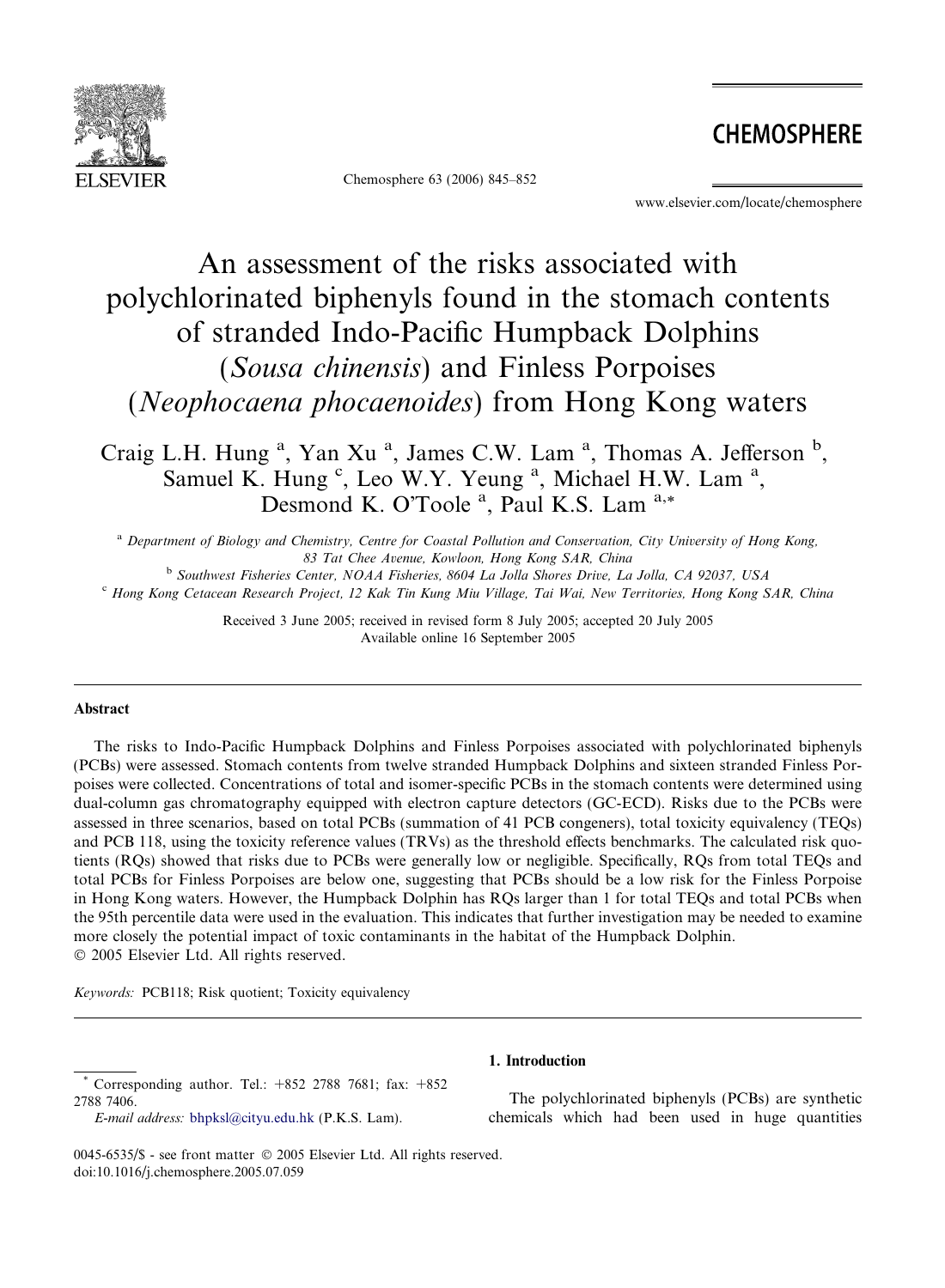

Chemosphere 63 (2006) 845–852

**CHEMOSPHERE** 

www.elsevier.com/locate/chemosphere

# An assessment of the risks associated with polychlorinated biphenyls found in the stomach contents of stranded Indo-Pacific Humpback Dolphins (Sousa chinensis) and Finless Porpoises (Neophocaena phocaenoides) from Hong Kong waters

Craig L.H. Hung<sup>a</sup>, Yan Xu<sup>a</sup>, James C.W. Lam<sup>a</sup>, Thomas A. Jefferson<sup>b</sup>, Samuel K. Hung <sup>c</sup>, Leo W.Y. Yeung <sup>a</sup>, Michael H.W. Lam <sup>a</sup>, Desmond K. O'Toole<sup>a</sup>, Paul K.S. Lam<sup>a,\*</sup>

<sup>a</sup> Department of Biology and Chemistry, Centre for Coastal Pollution and Conservation, City University of Hong Kong, 83 Tat Chee Avenue, Kowloon, Hong Kong SAR, China

<sup>b</sup> Southwest Fisheries Center, NOAA Fisheries, 8604 La Jolla Shores Drive, La Jolla, CA 92037, USA

<sup>c</sup> Hong Kong Cetacean Research Project, 12 Kak Tin Kung Miu Village, Tai Wai, New Territories, Hong Kong SAR, China

Received 3 June 2005; received in revised form 8 July 2005; accepted 20 July 2005 Available online 16 September 2005

## Abstract

The risks to Indo-Pacific Humpback Dolphins and Finless Porpoises associated with polychlorinated biphenyls (PCBs) were assessed. Stomach contents from twelve stranded Humpback Dolphins and sixteen stranded Finless Porpoises were collected. Concentrations of total and isomer-specific PCBs in the stomach contents were determined using dual-column gas chromatography equipped with electron capture detectors (GC-ECD). Risks due to the PCBs were assessed in three scenarios, based on total PCBs (summation of 41 PCB congeners), total toxicity equivalency (TEQs) and PCB 118, using the toxicity reference values (TRVs) as the threshold effects benchmarks. The calculated risk quotients (RQs) showed that risks due to PCBs were generally low or negligible. Specifically, RQs from total TEQs and total PCBs for Finless Porpoises are below one, suggesting that PCBs should be a low risk for the Finless Porpoise in Hong Kong waters. However, the Humpback Dolphin has RQs larger than 1 for total TEQs and total PCBs when the 95th percentile data were used in the evaluation. This indicates that further investigation may be needed to examine more closely the potential impact of toxic contaminants in the habitat of the Humpback Dolphin.  $© 2005 Elsevier Ltd. All rights reserved.$ 

Keywords: PCB118; Risk quotient; Toxicity equivalency

Corresponding author. Tel.:  $+852$  2788 7681; fax:  $+852$ 2788 7406.

# 1. Introduction

The polychlorinated biphenyls (PCBs) are synthetic chemicals which had been used in huge quantities

E-mail address: [bhpksl@cityu.edu.hk](mailto:bhpksl@cityu.edu.hk) (P.K.S. Lam).

<sup>0045-6535/\$ -</sup> see front matter © 2005 Elsevier Ltd. All rights reserved. doi:10.1016/j.chemosphere.2005.07.059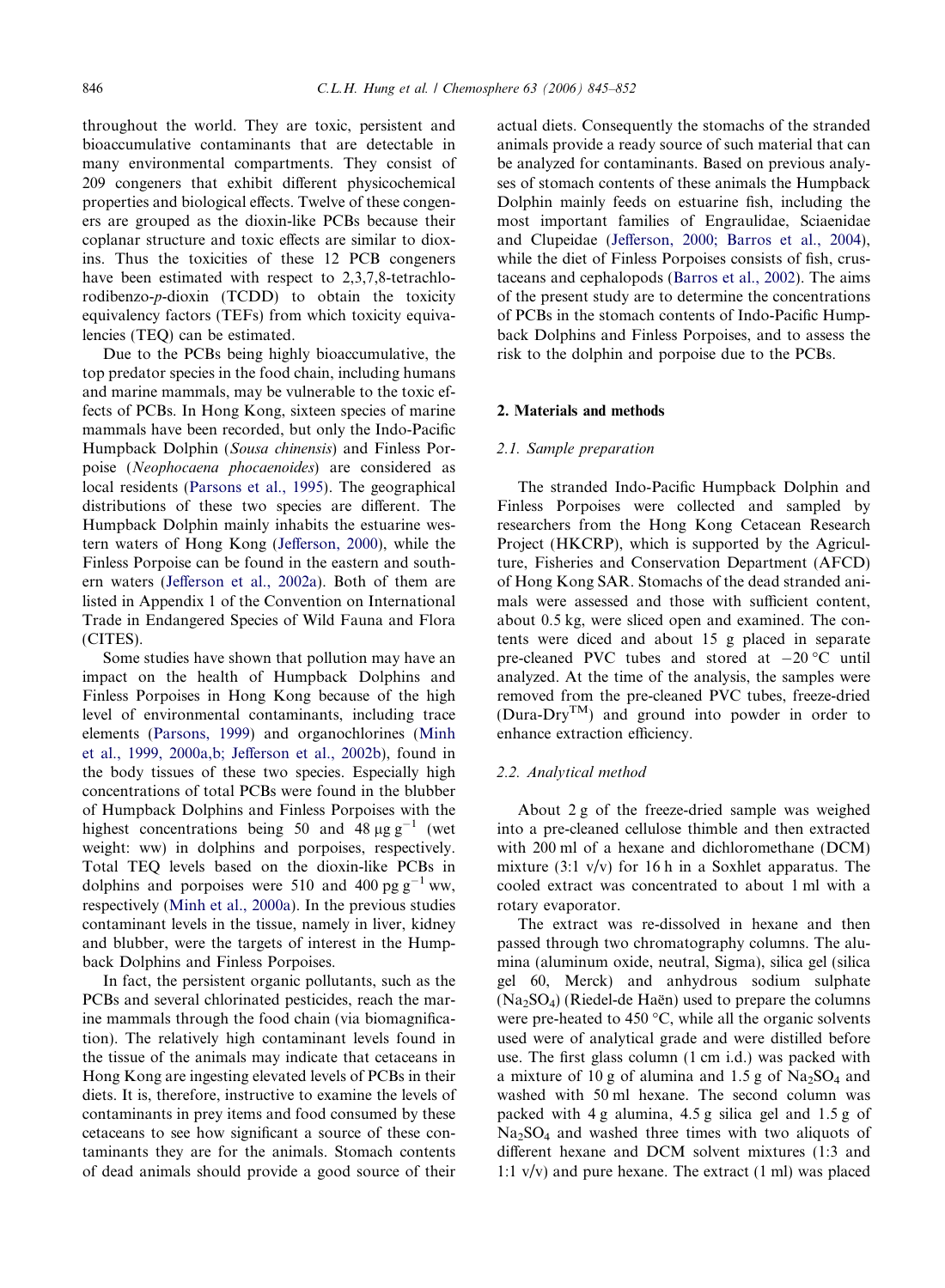throughout the world. They are toxic, persistent and bioaccumulative contaminants that are detectable in many environmental compartments. They consist of 209 congeners that exhibit different physicochemical properties and biological effects. Twelve of these congeners are grouped as the dioxin-like PCBs because their coplanar structure and toxic effects are similar to dioxins. Thus the toxicities of these 12 PCB congeners have been estimated with respect to 2,3,7,8-tetrachlorodibenzo-p-dioxin (TCDD) to obtain the toxicity equivalency factors (TEFs) from which toxicity equivalencies (TEQ) can be estimated.

Due to the PCBs being highly bioaccumulative, the top predator species in the food chain, including humans and marine mammals, may be vulnerable to the toxic effects of PCBs. In Hong Kong, sixteen species of marine mammals have been recorded, but only the Indo-Pacific Humpback Dolphin (Sousa chinensis) and Finless Porpoise (Neophocaena phocaenoides) are considered as local residents [\(Parsons et al., 1995](#page-7-0)). The geographical distributions of these two species are different. The Humpback Dolphin mainly inhabits the estuarine western waters of Hong Kong [\(Jefferson, 2000\)](#page-6-0), while the Finless Porpoise can be found in the eastern and southern waters ([Jefferson et al., 2002a\)](#page-6-0). Both of them are listed in Appendix 1 of the Convention on International Trade in Endangered Species of Wild Fauna and Flora (CITES).

Some studies have shown that pollution may have an impact on the health of Humpback Dolphins and Finless Porpoises in Hong Kong because of the high level of environmental contaminants, including trace elements [\(Parsons, 1999](#page-7-0)) and organochlorines [\(Minh](#page-7-0) [et al., 1999, 2000a,b; Jefferson et al., 2002b\)](#page-7-0), found in the body tissues of these two species. Especially high concentrations of total PCBs were found in the blubber of Humpback Dolphins and Finless Porpoises with the highest concentrations being 50 and 48  $\mu$ g g<sup>-1</sup> (wet weight: ww) in dolphins and porpoises, respectively. Total TEQ levels based on the dioxin-like PCBs in dolphins and porpoises were 510 and 400 pg  $g^{-1}$  ww, respectively [\(Minh et al., 2000a\)](#page-7-0). In the previous studies contaminant levels in the tissue, namely in liver, kidney and blubber, were the targets of interest in the Humpback Dolphins and Finless Porpoises.

In fact, the persistent organic pollutants, such as the PCBs and several chlorinated pesticides, reach the marine mammals through the food chain (via biomagnification). The relatively high contaminant levels found in the tissue of the animals may indicate that cetaceans in Hong Kong are ingesting elevated levels of PCBs in their diets. It is, therefore, instructive to examine the levels of contaminants in prey items and food consumed by these cetaceans to see how significant a source of these contaminants they are for the animals. Stomach contents of dead animals should provide a good source of their

actual diets. Consequently the stomachs of the stranded animals provide a ready source of such material that can be analyzed for contaminants. Based on previous analyses of stomach contents of these animals the Humpback Dolphin mainly feeds on estuarine fish, including the most important families of Engraulidae, Sciaenidae and Clupeidae [\(Jefferson, 2000; Barros et al., 2004](#page-6-0)), while the diet of Finless Porpoises consists of fish, crustaceans and cephalopods ([Barros et al., 2002](#page-6-0)). The aims of the present study are to determine the concentrations of PCBs in the stomach contents of Indo-Pacific Humpback Dolphins and Finless Porpoises, and to assess the risk to the dolphin and porpoise due to the PCBs.

## 2. Materials and methods

## 2.1. Sample preparation

The stranded Indo-Pacific Humpback Dolphin and Finless Porpoises were collected and sampled by researchers from the Hong Kong Cetacean Research Project (HKCRP), which is supported by the Agriculture, Fisheries and Conservation Department (AFCD) of Hong Kong SAR. Stomachs of the dead stranded animals were assessed and those with sufficient content, about 0.5 kg, were sliced open and examined. The contents were diced and about 15 g placed in separate pre-cleaned PVC tubes and stored at  $-20$  °C until analyzed. At the time of the analysis, the samples were removed from the pre-cleaned PVC tubes, freeze-dried (Dura-Dry<sup>TM</sup>) and ground into powder in order to enhance extraction efficiency.

## 2.2. Analytical method

About 2 g of the freeze-dried sample was weighed into a pre-cleaned cellulose thimble and then extracted with 200 ml of a hexane and dichloromethane (DCM) mixture  $(3:1 \text{ v/v})$  for 16 h in a Soxhlet apparatus. The cooled extract was concentrated to about 1 ml with a rotary evaporator.

The extract was re-dissolved in hexane and then passed through two chromatography columns. The alumina (aluminum oxide, neutral, Sigma), silica gel (silica gel 60, Merck) and anhydrous sodium sulphate  $(Na<sub>2</sub>SO<sub>4</sub>)$  (Riedel-de Haën) used to prepare the columns were pre-heated to 450  $\degree$ C, while all the organic solvents used were of analytical grade and were distilled before use. The first glass column (1 cm i.d.) was packed with a mixture of 10 g of alumina and 1.5 g of  $Na<sub>2</sub>SO<sub>4</sub>$  and washed with 50 ml hexane. The second column was packed with 4 g alumina, 4.5 g silica gel and 1.5 g of  $Na<sub>2</sub>SO<sub>4</sub>$  and washed three times with two aliquots of different hexane and DCM solvent mixtures (1:3 and 1:1  $v/v$ ) and pure hexane. The extract (1 ml) was placed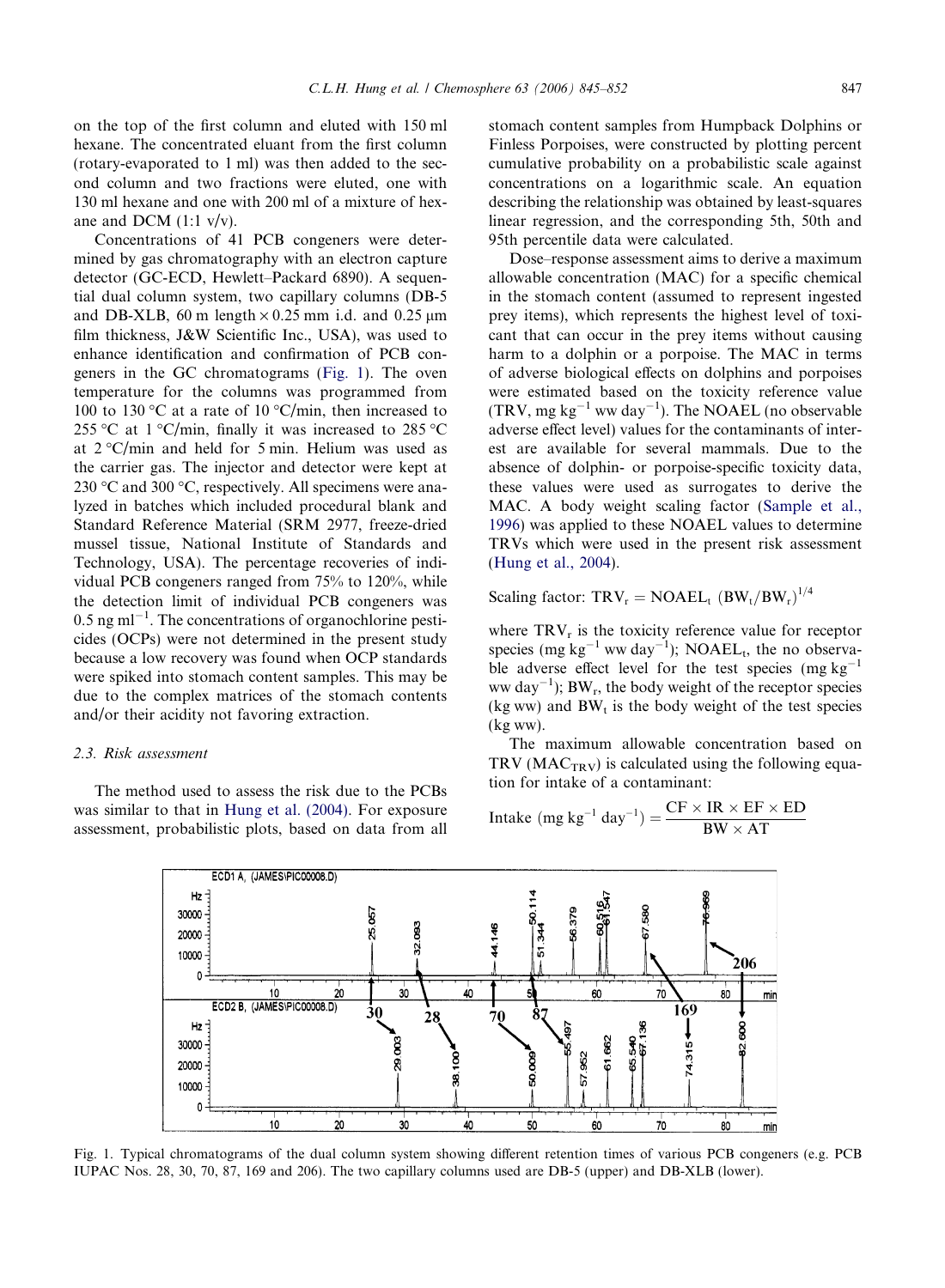on the top of the first column and eluted with 150 ml hexane. The concentrated eluant from the first column (rotary-evaporated to 1 ml) was then added to the second column and two fractions were eluted, one with 130 ml hexane and one with 200 ml of a mixture of hexane and DCM  $(1:1 \text{ v/v})$ .

Concentrations of 41 PCB congeners were determined by gas chromatography with an electron capture detector (GC-ECD, Hewlett–Packard 6890). A sequential dual column system, two capillary columns (DB-5 and DB-XLB, 60 m length  $\times$  0.25 mm i.d. and 0.25 µm film thickness, J&W Scientific Inc., USA), was used to enhance identification and confirmation of PCB congeners in the GC chromatograms (Fig. 1). The oven temperature for the columns was programmed from 100 to 130 °C at a rate of 10 °C/min, then increased to 255 °C at 1 °C/min, finally it was increased to 285 °C at  $2^{\circ}$ C/min and held for 5 min. Helium was used as the carrier gas. The injector and detector were kept at 230 °C and 300 °C, respectively. All specimens were analyzed in batches which included procedural blank and Standard Reference Material (SRM 2977, freeze-dried mussel tissue, National Institute of Standards and Technology, USA). The percentage recoveries of individual PCB congeners ranged from 75% to 120%, while the detection limit of individual PCB congeners was  $0.5$  ng ml<sup>-1</sup>. The concentrations of organochlorine pesticides (OCPs) were not determined in the present study because a low recovery was found when OCP standards were spiked into stomach content samples. This may be due to the complex matrices of the stomach contents and/or their acidity not favoring extraction.

## 2.3. Risk assessment

The method used to assess the risk due to the PCBs was similar to that in [Hung et al. \(2004\).](#page-6-0) For exposure assessment, probabilistic plots, based on data from all stomach content samples from Humpback Dolphins or Finless Porpoises, were constructed by plotting percent cumulative probability on a probabilistic scale against concentrations on a logarithmic scale. An equation describing the relationship was obtained by least-squares linear regression, and the corresponding 5th, 50th and 95th percentile data were calculated.

Dose–response assessment aims to derive a maximum allowable concentration (MAC) for a specific chemical in the stomach content (assumed to represent ingested prey items), which represents the highest level of toxicant that can occur in the prey items without causing harm to a dolphin or a porpoise. The MAC in terms of adverse biological effects on dolphins and porpoises were estimated based on the toxicity reference value  $(TRV, mg kg<sup>-1</sup> ww day<sup>-1</sup>).$  The NOAEL (no observable adverse effect level) values for the contaminants of interest are available for several mammals. Due to the absence of dolphin- or porpoise-specific toxicity data, these values were used as surrogates to derive the MAC. A body weight scaling factor ([Sample et al.,](#page-7-0) [1996\)](#page-7-0) was applied to these NOAEL values to determine TRVs which were used in the present risk assessment ([Hung et al., 2004\)](#page-6-0).

Scaling factor:  $TRV_r = NOAEL_t (BW_t/BW_r)^{1/4}$ 

where  $TRV<sub>r</sub>$  is the toxicity reference value for receptor species (mg  $kg^{-1}$  ww day<sup>-1</sup>); NOAEL<sub>t</sub>, the no observable adverse effect level for the test species  $(mg kg^{-1})$ ww day<sup>-1</sup>);  $BW_r$ , the body weight of the receptor species (kg ww) and  $BW_t$  is the body weight of the test species (kg ww).

The maximum allowable concentration based on TRV ( $MAC<sub>TRV</sub>$ ) is calculated using the following equation for intake of a contaminant:

$$
Intake (mg kg^{-1} day^{-1}) = \frac{CF \times IR \times EF \times ED}{BW \times AT}
$$



Fig. 1. Typical chromatograms of the dual column system showing different retention times of various PCB congeners (e.g. PCB IUPAC Nos. 28, 30, 70, 87, 169 and 206). The two capillary columns used are DB-5 (upper) and DB-XLB (lower).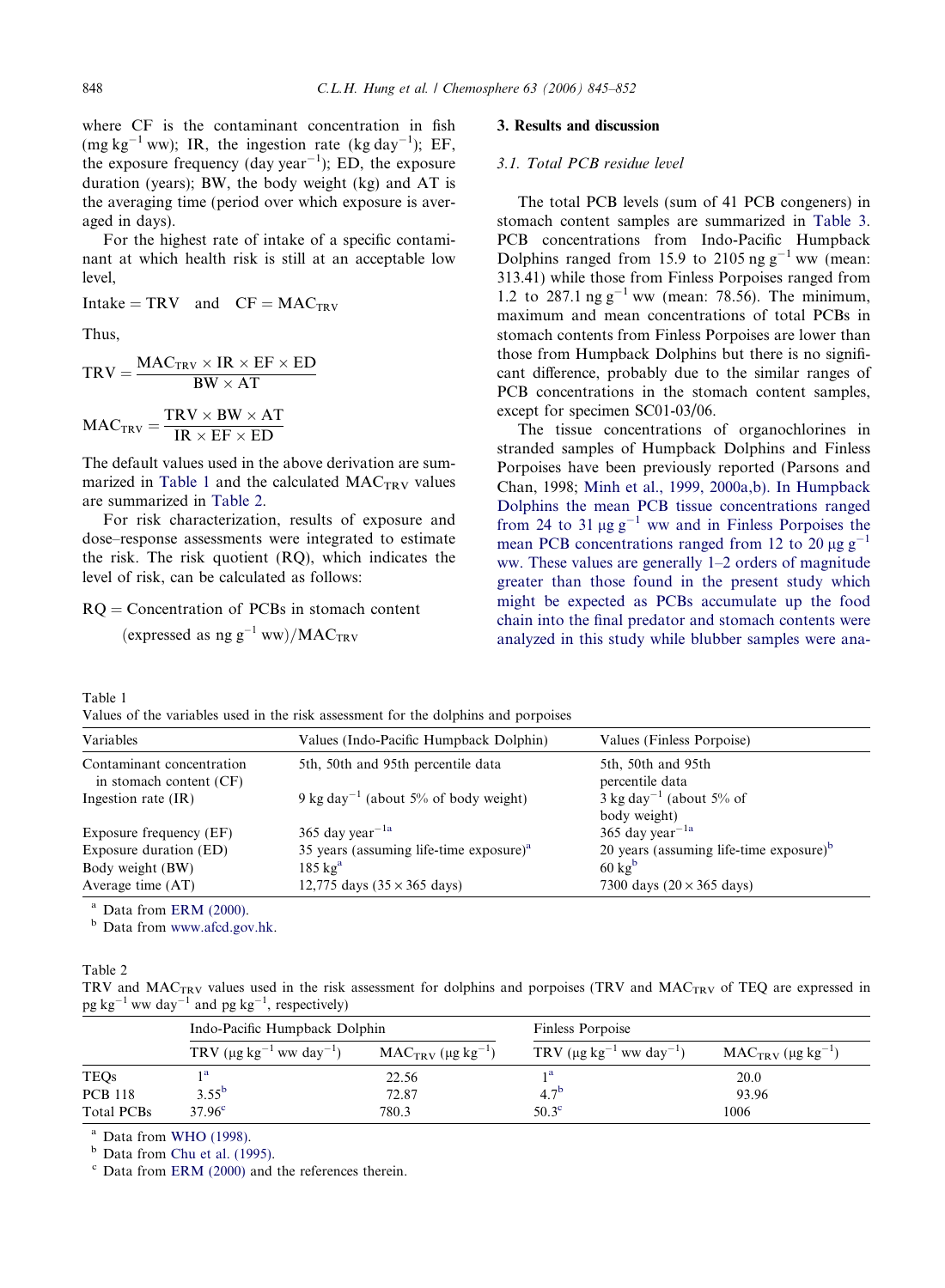<span id="page-3-0"></span>where CF is the contaminant concentration in fish (mg kg<sup>-1</sup> ww); IR, the ingestion rate (kg day<sup>-1</sup>); EF, the exposure frequency (day year<sup> $-1$ </sup>); ED, the exposure duration (years); BW, the body weight (kg) and AT is the averaging time (period over which exposure is averaged in days).

For the highest rate of intake of a specific contaminant at which health risk is still at an acceptable low level,

Intake =  $TRV$  and  $CF = MAC_{TRY}$ 

Thus,

$$
TRV = \frac{MAC_{TRV} \times IR \times EF \times ED}{BW \times AT}
$$

$$
MAC_{TRV} = \frac{TRV \times BW \times AT}{IR \times EF \times ED}
$$

The default values used in the above derivation are summarized in Table 1 and the calculated  $MAC_{TRV}$  values are summarized in Table 2.

For risk characterization, results of exposure and dose–response assessments were integrated to estimate the risk. The risk quotient (RQ), which indicates the level of risk, can be calculated as follows:

## $RQ =$  Concentration of PCBs in stomach content

(expressed as  $ngg^{-1}$  ww)/MAC<sub>TRV</sub>

## 3. Results and discussion

## 3.1. Total PCB residue level

The total PCB levels (sum of 41 PCB congeners) in stomach content samples are summarized in [Table 3](#page-4-0). PCB concentrations from Indo-Pacific Humpback Dolphins ranged from 15.9 to 2105 ng  $g^{-1}$  ww (mean: 313.41) while those from Finless Porpoises ranged from 1.2 to 287.1 ng  $g^{-1}$  ww (mean: 78.56). The minimum, maximum and mean concentrations of total PCBs in stomach contents from Finless Porpoises are lower than those from Humpback Dolphins but there is no significant difference, probably due to the similar ranges of PCB concentrations in the stomach content samples, except for specimen SC01-03/06.

The tissue concentrations of organochlorines in stranded samples of Humpback Dolphins and Finless Porpoises have been previously reported (Parsons and Chan, 1998; [Minh et al., 1999, 2000a,b\). In Humpback](#page-7-0) [Dolphins the mean PCB tissue concentrations ranged](#page-7-0) [from 24 to 31](#page-7-0)  $\mu$ g g<sup>-[1](#page-7-0)</sup> [ww and in Finless Porpoises the](#page-7-0) [mean PCB concentrations ranged from 12 to 20](#page-7-0)  $\mu$ g g<sup>-[1](#page-7-0)</sup> [ww. These values are generally 1–2 orders of magnitude](#page-7-0) [greater than those found in the present study which](#page-7-0) [might be expected as PCBs accumulate up the food](#page-7-0) [chain into the final predator and stomach contents were](#page-7-0) [analyzed in this study while blubber samples were ana-](#page-7-0)

Table 1 Values of the variables used in the risk assessment for the dolphins and porpoises

| Variables                                            | Values (Indo-Pacific Humpback Dolphin)           | Values (Finless Porpoise)                            |
|------------------------------------------------------|--------------------------------------------------|------------------------------------------------------|
| Contaminant concentration<br>in stomach content (CF) | 5th, 50th and 95th percentile data               | 5th, 50th and 95th<br>percentile data                |
| Ingestion rate $(IR)$                                | 9 kg day <sup>-1</sup> (about 5% of body weight) | $3 \text{ kg day}^{-1}$ (about 5% of<br>body weight) |
| Exposure frequency (EF)                              | 365 day year <sup><math>-1a</math></sup>         | 365 day year <sup><math>-1a</math></sup>             |
| Exposure duration (ED)                               | 35 years (assuming life-time exposure) $a$       | 20 years (assuming life-time exposure) $b$           |
| Body weight (BW)                                     | $185 \text{ kg}^{\text{a}}$                      | $60 \text{ kg}^{\text{b}}$                           |
| Average time $(AT)$                                  | 12,775 days $(35 \times 365$ days)               | 7300 days $(20 \times 365$ days)                     |

 $a$  Data from [ERM \(2000\).](#page-6-0)

<sup>b</sup> Data from [www.afcd.gov.hk.](http://www.afcd.gov.hk)

Table 2

TRV and MACTRV values used in the risk assessment for dolphins and porpoises (TRV and MACTRV of TEQ are expressed in  $pg kg^{-1}$  ww day<sup>-1</sup> and  $pg kg^{-1}$ , respectively)

|                | Indo-Pacific Humpback Dolphin               |                                    | Finless Porpoise                                      |                                    |  |
|----------------|---------------------------------------------|------------------------------------|-------------------------------------------------------|------------------------------------|--|
|                | TRV $(\mu g kg^{-1}$ ww day <sup>-1</sup> ) | $MAC_{TRV}$ (µg kg <sup>-1</sup> ) | TRV ( $\mu$ g kg <sup>-1</sup> ww day <sup>-1</sup> ) | $MAC_{TRV}$ (µg kg <sup>-1</sup> ) |  |
| TEQs           |                                             | 22.56                              | 1a                                                    | 20.0                               |  |
| <b>PCB 118</b> | $3.55^{b}$                                  | 72.87                              | 4.7 <sup>b</sup>                                      | 93.96                              |  |
| Total PCBs     | 37.96 <sup>c</sup>                          | 780.3                              | 50.3 <sup>c</sup>                                     | 1006                               |  |

<sup>a</sup> Data from [WHO \(1998\).](#page-7-0)

 $<sup>b</sup>$  Data from [Chu et al. \(1995\)](#page-6-0).</sup>

 $c$  Data from [ERM \(2000\)](#page-6-0) and the references therein.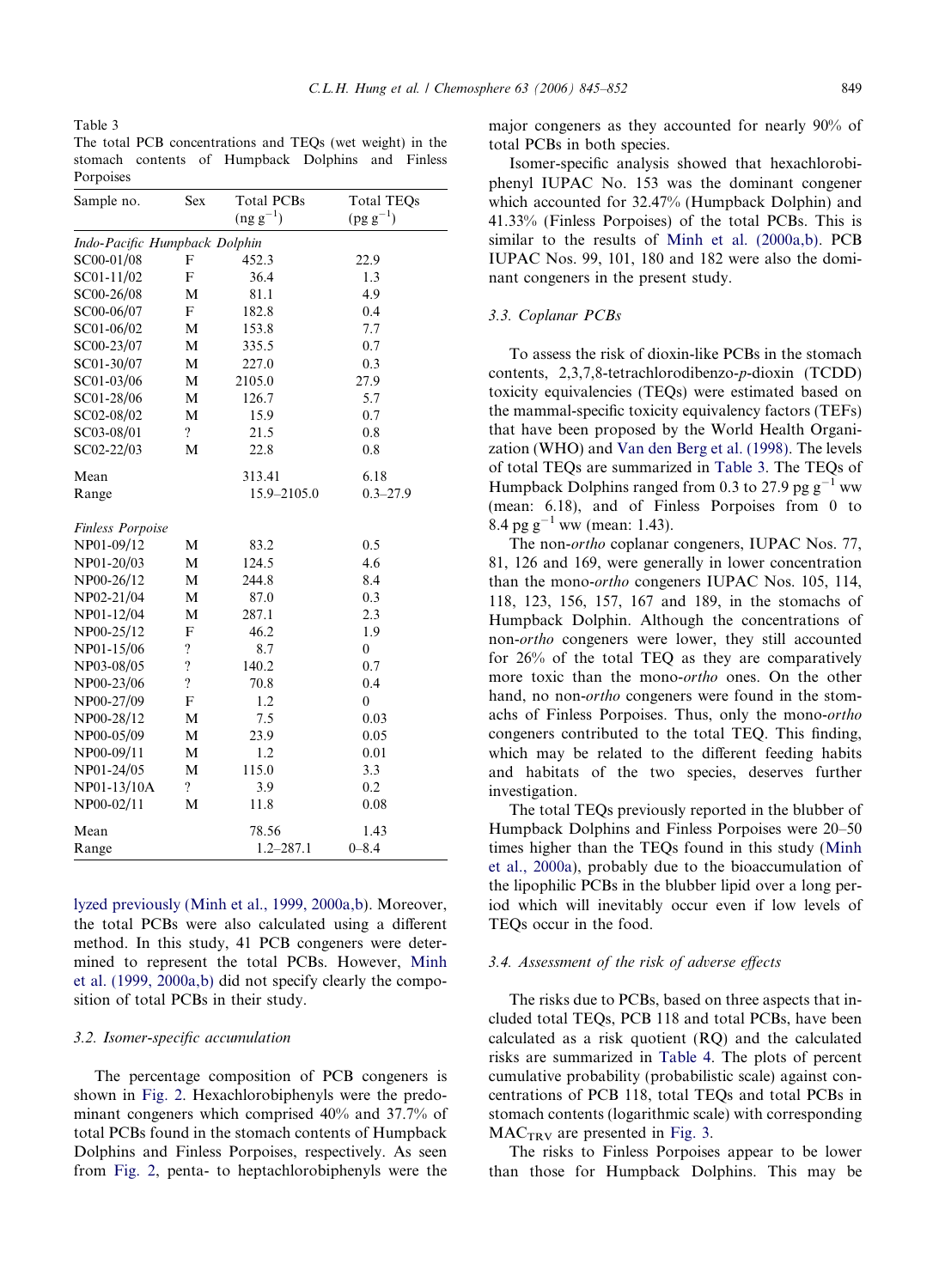<span id="page-4-0"></span>Table 3

The total PCB concentrations and TEQs (wet weight) in the stomach contents of Humpback Dolphins and Finless Porpoises

| Sample no.                    | Sex                      | <b>Total PCBs</b> | <b>Total TEQs</b> |
|-------------------------------|--------------------------|-------------------|-------------------|
|                               |                          | $(ng g^{-1})$     | $(pg g^{-1})$     |
| Indo-Pacific Humpback Dolphin |                          |                   |                   |
| SC00-01/08                    | F                        | 452.3             | 22.9              |
| SC01-11/02                    | F                        | 36.4              | 1.3               |
| SC00-26/08                    | М                        | 81.1              | 4.9               |
| SC00-06/07                    | F                        | 182.8             | 0.4               |
| SC01-06/02                    | М                        | 153.8             | 7.7               |
| SC00-23/07                    | M                        | 335.5             | 0.7               |
| SC01-30/07                    | M                        | 227.0             | 0.3               |
| SC01-03/06                    | M                        | 2105.0            | 27.9              |
| SC01-28/06                    | М                        | 126.7             | 5.7               |
| SC02-08/02                    | М                        | 15.9              | 0.7               |
| SC03-08/01                    | $\overline{\mathcal{L}}$ | 21.5              | 0.8               |
| $SC02-22/03$                  | M                        | 22.8              | 0.8               |
| Mean                          |                          | 313.41            | 6.18              |
| Range                         |                          | 15.9-2105.0       | $0.3 - 27.9$      |
|                               |                          |                   |                   |
| <b>Finless Porpoise</b>       |                          |                   |                   |
| NP01-09/12                    | М                        | 83.2              | 0.5               |
| NP01-20/03                    | М                        | 124.5             | 4.6               |
| NP00-26/12                    | M                        | 244.8             | 8.4               |
| NP02-21/04                    | М                        | 87.0              | 0.3               |
| NP01-12/04                    | M                        | 287.1             | 2.3               |
| NP00-25/12                    | F                        | 46.2              | 1.9               |
| NP01-15/06                    | $\overline{\mathcal{C}}$ | 8.7               | $\theta$          |
| NP03-08/05                    | $\overline{\mathcal{L}}$ | 140.2             | 0.7               |
| NP00-23/06                    | $\overline{?}$           | 70.8              | 0.4               |
| NP00-27/09                    | F                        | 1.2               | $\mathbf{0}$      |
| NP00-28/12                    | М                        | 7.5               | 0.03              |
| NP00-05/09                    | М                        | 23.9              | 0.05              |
| NP00-09/11                    | М                        | 1.2               | 0.01              |
| NP01-24/05                    | М                        | 115.0             | 3.3               |
| NP01-13/10A                   | $\overline{\mathcal{L}}$ | 3.9               | 0.2               |
| NP00-02/11                    | М                        | 11.8              | 0.08              |
| Mean                          |                          | 78.56             | 1.43              |
| Range                         |                          | $1.2 - 287.1$     | $0 - 8.4$         |

[lyzed previously \(Minh et al., 1999, 2000a,b](#page-7-0)). Moreover, the total PCBs were also calculated using a different method. In this study, 41 PCB congeners were determined to represent the total PCBs. However, [Minh](#page-7-0) [et al. \(1999, 2000a,b\)](#page-7-0) did not specify clearly the composition of total PCBs in their study.

## 3.2. Isomer-specific accumulation

The percentage composition of PCB congeners is shown in [Fig. 2.](#page-5-0) Hexachlorobiphenyls were the predominant congeners which comprised 40% and 37.7% of total PCBs found in the stomach contents of Humpback Dolphins and Finless Porpoises, respectively. As seen from [Fig. 2,](#page-5-0) penta- to heptachlorobiphenyls were the

major congeners as they accounted for nearly 90% of total PCBs in both species.

Isomer-specific analysis showed that hexachlorobiphenyl IUPAC No. 153 was the dominant congener which accounted for 32.47% (Humpback Dolphin) and 41.33% (Finless Porpoises) of the total PCBs. This is similar to the results of [Minh et al. \(2000a,b\).](#page-7-0) PCB IUPAC Nos. 99, 101, 180 and 182 were also the dominant congeners in the present study.

## 3.3. Coplanar PCBs

To assess the risk of dioxin-like PCBs in the stomach contents, 2,3,7,8-tetrachlorodibenzo-p-dioxin (TCDD) toxicity equivalencies (TEQs) were estimated based on the mammal-specific toxicity equivalency factors (TEFs) that have been proposed by the World Health Organization (WHO) and [Van den Berg et al. \(1998\)](#page-7-0). The levels of total TEQs are summarized in Table 3. The TEQs of Humpback Dolphins ranged from 0.3 to 27.9 pg  $g^{-1}$  ww (mean: 6.18), and of Finless Porpoises from 0 to 8.4 pg  $g^{-1}$  ww (mean: 1.43).

The non-ortho coplanar congeners, IUPAC Nos. 77, 81, 126 and 169, were generally in lower concentration than the mono-ortho congeners IUPAC Nos. 105, 114, 118, 123, 156, 157, 167 and 189, in the stomachs of Humpback Dolphin. Although the concentrations of non-ortho congeners were lower, they still accounted for 26% of the total TEQ as they are comparatively more toxic than the mono-ortho ones. On the other hand, no non-*ortho* congeners were found in the stomachs of Finless Porpoises. Thus, only the mono-ortho congeners contributed to the total TEQ. This finding, which may be related to the different feeding habits and habitats of the two species, deserves further investigation.

The total TEQs previously reported in the blubber of Humpback Dolphins and Finless Porpoises were 20–50 times higher than the TEQs found in this study ([Minh](#page-7-0) [et al., 2000a\)](#page-7-0), probably due to the bioaccumulation of the lipophilic PCBs in the blubber lipid over a long period which will inevitably occur even if low levels of TEQs occur in the food.

## 3.4. Assessment of the risk of adverse effects

The risks due to PCBs, based on three aspects that included total TEQs, PCB 118 and total PCBs, have been calculated as a risk quotient (RQ) and the calculated risks are summarized in [Table 4.](#page-5-0) The plots of percent cumulative probability (probabilistic scale) against concentrations of PCB 118, total TEQs and total PCBs in stomach contents (logarithmic scale) with corresponding  $MAC<sub>TRV</sub>$  are presented in [Fig. 3.](#page-6-0)

The risks to Finless Porpoises appear to be lower than those for Humpback Dolphins. This may be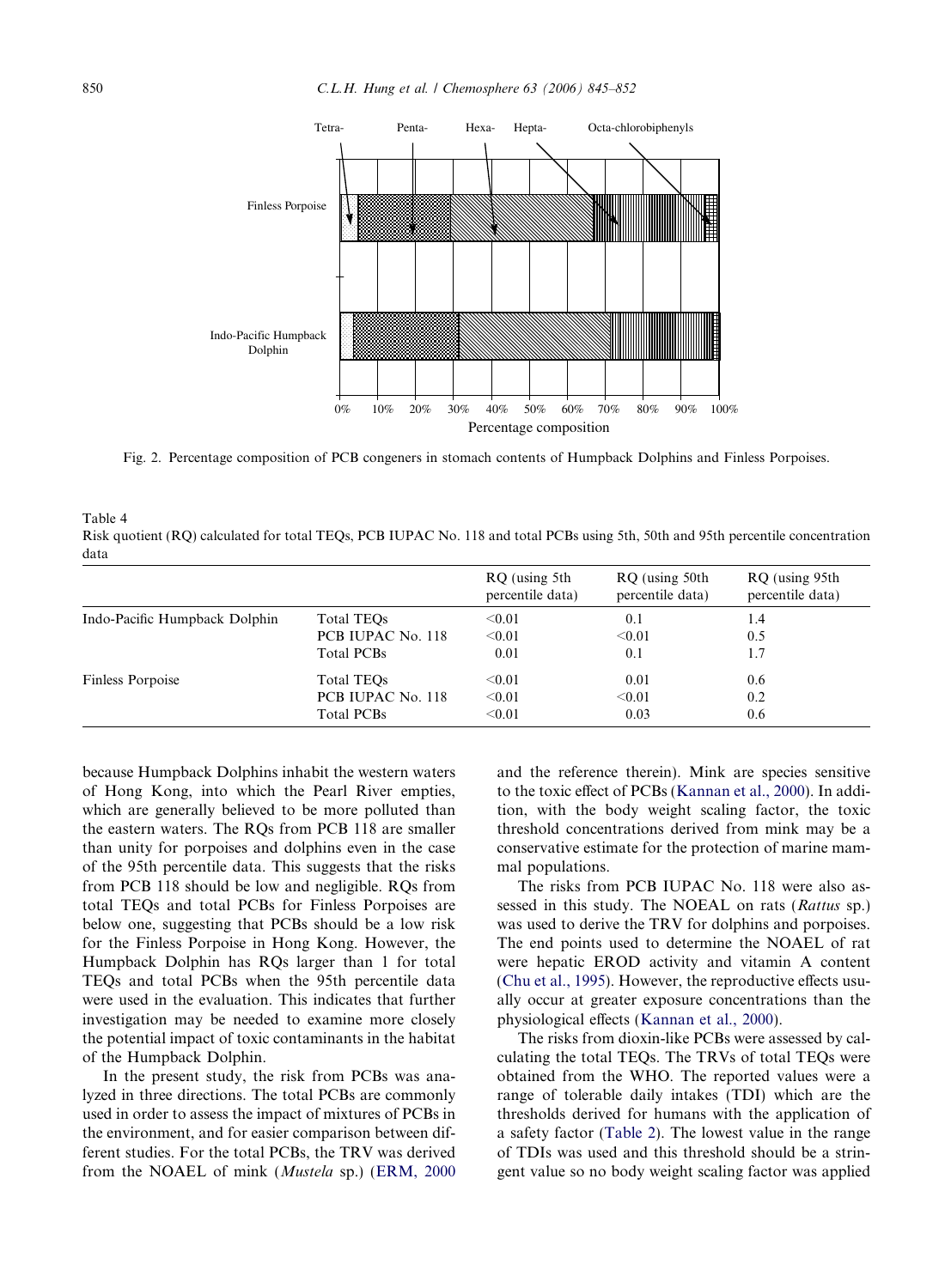<span id="page-5-0"></span>

Fig. 2. Percentage composition of PCB congeners in stomach contents of Humpback Dolphins and Finless Porpoises.

| Table 4                                                                                                                          |
|----------------------------------------------------------------------------------------------------------------------------------|
| Risk quotient (RQ) calculated for total TEQs, PCB IUPAC No. 118 and total PCBs using 5th, 50th and 95th percentile concentration |
| data                                                                                                                             |

|                               |                   | RQ (using 5th<br>percentile data) | RQ (using 50th)<br>percentile data) | RQ (using 95th)<br>percentile data) |
|-------------------------------|-------------------|-----------------------------------|-------------------------------------|-------------------------------------|
| Indo-Pacific Humpback Dolphin | Total TEOs        | < 0.01                            | 0.1                                 | 1.4                                 |
|                               | PCB IUPAC No. 118 | < 0.01                            | < 0.01                              | 0.5                                 |
|                               | <b>Total PCBs</b> | 0.01                              | 0.1                                 | 1.7                                 |
| Finless Porpoise              | Total TEOs        | $<$ 0.01                          | 0.01                                | 0.6                                 |
|                               | PCB IUPAC No. 118 | < 0.01                            | < 0.01                              | 0.2                                 |
|                               | Total PCBs        | < 0.01                            | 0.03                                | 0.6                                 |

because Humpback Dolphins inhabit the western waters of Hong Kong, into which the Pearl River empties, which are generally believed to be more polluted than the eastern waters. The RQs from PCB 118 are smaller than unity for porpoises and dolphins even in the case of the 95th percentile data. This suggests that the risks from PCB 118 should be low and negligible. RQs from total TEQs and total PCBs for Finless Porpoises are below one, suggesting that PCBs should be a low risk for the Finless Porpoise in Hong Kong. However, the Humpback Dolphin has RQs larger than 1 for total TEQs and total PCBs when the 95th percentile data were used in the evaluation. This indicates that further investigation may be needed to examine more closely the potential impact of toxic contaminants in the habitat of the Humpback Dolphin.

In the present study, the risk from PCBs was analyzed in three directions. The total PCBs are commonly used in order to assess the impact of mixtures of PCBs in the environment, and for easier comparison between different studies. For the total PCBs, the TRV was derived from the NOAEL of mink (Mustela sp.) ([ERM, 2000](#page-6-0) and the reference therein). Mink are species sensitive to the toxic effect of PCBs ([Kannan et al., 2000\)](#page-7-0). In addition, with the body weight scaling factor, the toxic threshold concentrations derived from mink may be a conservative estimate for the protection of marine mammal populations.

The risks from PCB IUPAC No. 118 were also assessed in this study. The NOEAL on rats (Rattus sp.) was used to derive the TRV for dolphins and porpoises. The end points used to determine the NOAEL of rat were hepatic EROD activity and vitamin A content ([Chu et al., 1995\)](#page-6-0). However, the reproductive effects usually occur at greater exposure concentrations than the physiological effects ([Kannan et al., 2000\)](#page-7-0).

The risks from dioxin-like PCBs were assessed by calculating the total TEQs. The TRVs of total TEQs were obtained from the WHO. The reported values were a range of tolerable daily intakes (TDI) which are the thresholds derived for humans with the application of a safety factor [\(Table 2\)](#page-3-0). The lowest value in the range of TDIs was used and this threshold should be a stringent value so no body weight scaling factor was applied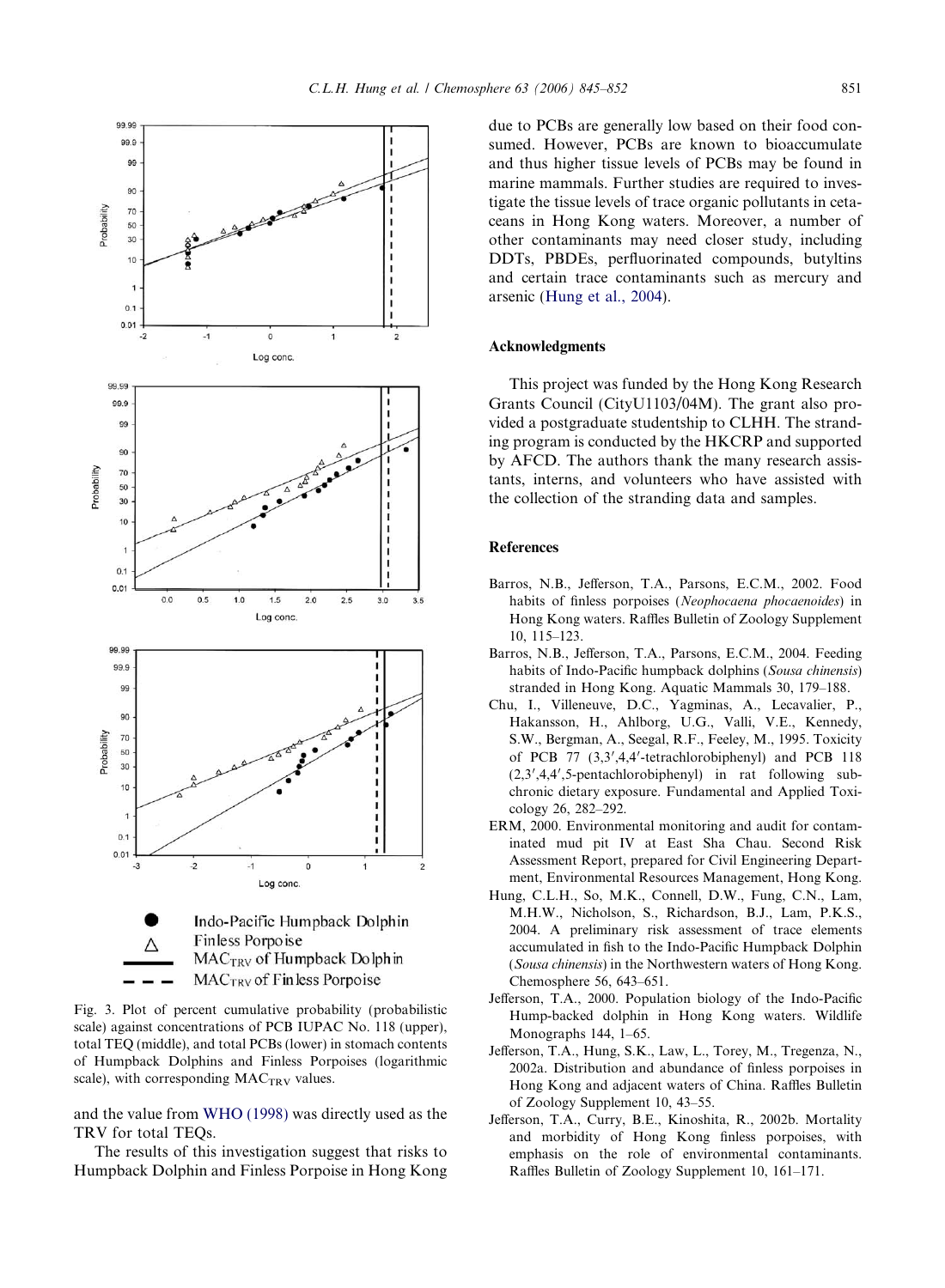

<span id="page-6-0"></span>

Fig. 3. Plot of percent cumulative probability (probabilistic scale) against concentrations of PCB IUPAC No. 118 (upper), total TEQ (middle), and total PCBs (lower) in stomach contents of Humpback Dolphins and Finless Porpoises (logarithmic scale), with corresponding MAC<sub>TRV</sub> values.

and the value from [WHO \(1998\)](#page-7-0) was directly used as the TRV for total TEQs.

The results of this investigation suggest that risks to Humpback Dolphin and Finless Porpoise in Hong Kong due to PCBs are generally low based on their food consumed. However, PCBs are known to bioaccumulate and thus higher tissue levels of PCBs may be found in marine mammals. Further studies are required to investigate the tissue levels of trace organic pollutants in cetaceans in Hong Kong waters. Moreover, a number of other contaminants may need closer study, including DDTs, PBDEs, perfluorinated compounds, butyltins and certain trace contaminants such as mercury and arsenic (Hung et al., 2004).

### Acknowledgments

This project was funded by the Hong Kong Research Grants Council (CityU1103/04M). The grant also provided a postgraduate studentship to CLHH. The stranding program is conducted by the HKCRP and supported by AFCD. The authors thank the many research assistants, interns, and volunteers who have assisted with the collection of the stranding data and samples.

## References

- Barros, N.B., Jefferson, T.A., Parsons, E.C.M., 2002. Food habits of finless porpoises (Neophocaena phocaenoides) in Hong Kong waters. Raffles Bulletin of Zoology Supplement 10, 115–123.
- Barros, N.B., Jefferson, T.A., Parsons, E.C.M., 2004. Feeding habits of Indo-Pacific humpback dolphins (Sousa chinensis) stranded in Hong Kong. Aquatic Mammals 30, 179–188.
- Chu, I., Villeneuve, D.C., Yagminas, A., Lecavalier, P., Hakansson, H., Ahlborg, U.G., Valli, V.E., Kennedy, S.W., Bergman, A., Seegal, R.F., Feeley, M., 1995. Toxicity of PCB 77 (3,3',4,4'-tetrachlorobiphenyl) and PCB 118 (2,3',4,4',5-pentachlorobiphenyl) in rat following subchronic dietary exposure. Fundamental and Applied Toxicology 26, 282–292.
- ERM, 2000. Environmental monitoring and audit for contaminated mud pit IV at East Sha Chau. Second Risk Assessment Report, prepared for Civil Engineering Department, Environmental Resources Management, Hong Kong.
- Hung, C.L.H., So, M.K., Connell, D.W., Fung, C.N., Lam, M.H.W., Nicholson, S., Richardson, B.J., Lam, P.K.S., 2004. A preliminary risk assessment of trace elements accumulated in fish to the Indo-Pacific Humpback Dolphin (Sousa chinensis) in the Northwestern waters of Hong Kong. Chemosphere 56, 643–651.
- Jefferson, T.A., 2000. Population biology of the Indo-Pacific Hump-backed dolphin in Hong Kong waters. Wildlife Monographs 144, 1–65.
- Jefferson, T.A., Hung, S.K., Law, L., Torey, M., Tregenza, N., 2002a. Distribution and abundance of finless porpoises in Hong Kong and adjacent waters of China. Raffles Bulletin of Zoology Supplement 10, 43–55.
- Jefferson, T.A., Curry, B.E., Kinoshita, R., 2002b. Mortality and morbidity of Hong Kong finless porpoises, with emphasis on the role of environmental contaminants. Raffles Bulletin of Zoology Supplement 10, 161–171.